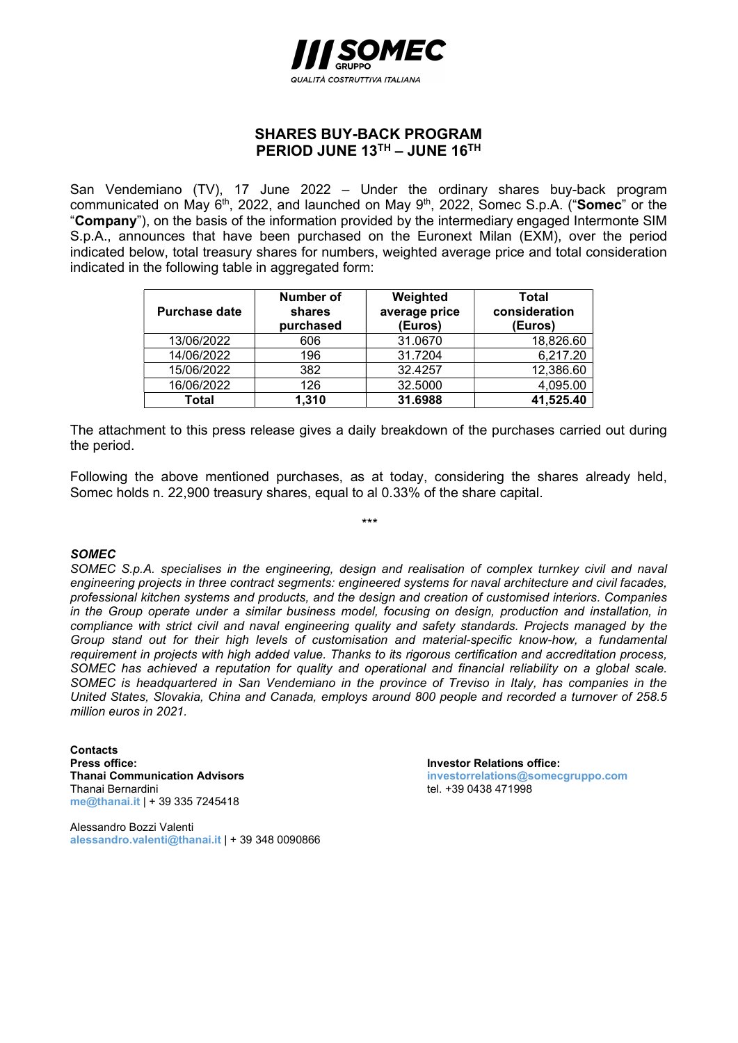

## SHARES BUY-BACK PROGRAM PERIOD JUNE 13TH – JUNE 16TH

San Vendemiano (TV), 17 June 2022 – Under the ordinary shares buy-back program communicated on May 6<sup>th</sup>, 2022, and launched on May 9<sup>th</sup>, 2022, Somec S.p.A. ("Somec" or the "Company"), on the basis of the information provided by the intermediary engaged Intermonte SIM S.p.A., announces that have been purchased on the Euronext Milan (EXM), over the period indicated below, total treasury shares for numbers, weighted average price and total consideration indicated in the following table in aggregated form:

| <b>Purchase date</b> | Number of<br>shares<br>purchased | Weighted<br>average price<br>(Euros) | Total<br>consideration<br>(Euros) |
|----------------------|----------------------------------|--------------------------------------|-----------------------------------|
| 13/06/2022           | 606                              | 31.0670                              | 18,826.60                         |
| 14/06/2022           | 196                              | 31.7204                              | 6,217.20                          |
| 15/06/2022           | 382                              | 32.4257                              | 12,386.60                         |
| 16/06/2022           | 126                              | 32.5000                              | 4,095.00                          |
| <b>Total</b>         | 1,310                            | 31.6988                              | 41,525.40                         |

The attachment to this press release gives a daily breakdown of the purchases carried out during the period.

Following the above mentioned purchases, as at today, considering the shares already held, Somec holds n. 22,900 treasury shares, equal to al 0.33% of the share capital.

## **SOMEC**

SOMEC S.p.A. specialises in the engineering, design and realisation of complex turnkey civil and naval engineering projects in three contract segments: engineered systems for naval architecture and civil facades, professional kitchen systems and products, and the design and creation of customised interiors. Companies in the Group operate under a similar business model, focusing on design, production and installation, in compliance with strict civil and naval engineering quality and safety standards. Projects managed by the Group stand out for their high levels of customisation and material-specific know-how, a fundamental requirement in projects with high added value. Thanks to its rigorous certification and accreditation process, SOMEC has achieved a reputation for quality and operational and financial reliability on a global scale. SOMEC is headquartered in San Vendemiano in the province of Treviso in Italy, has companies in the United States, Slovakia, China and Canada, employs around 800 people and recorded a turnover of 258.5 million euros in 2021.

**Contacts Press office:** Investor Relations office: Thanai Bernardini tel. +39 0438 471998 me@thanai.it | + 39 335 7245418

Alessandro Bozzi Valenti alessandro.valenti@thanai.it | + 39 348 0090866

Thanai Communication Advisors investorrelations@somecgruppo.com

\*\*\*